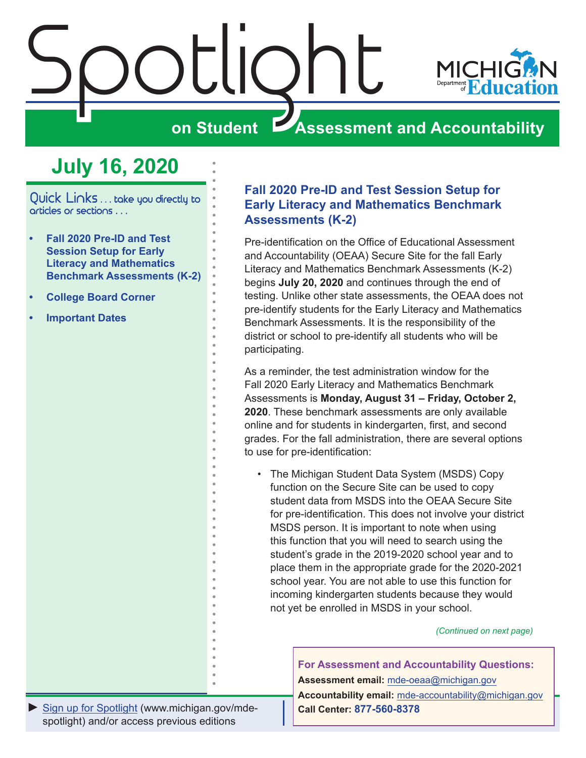<span id="page-0-0"></span>

# **July 16, 2020**

Quick Links . . . take you directly to articles or sections . . .

- **• Fall 2020 Pre-ID and Test Session Setup for Early Literacy and Mathematics Benchmark Assessments (K-2)**
- **• [College Board Corner](#page-1-0)**
- **• [Important Dates](#page-2-0)**

### **Fall 2020 Pre-ID and Test Session Setup for Early Literacy and Mathematics Benchmark Assessments (K-2)**

Pre-identification on the Office of Educational Assessment and Accountability (OEAA) Secure Site for the fall Early Literacy and Mathematics Benchmark Assessments (K-2) begins **July 20, 2020** and continues through the end of testing. Unlike other state assessments, the OEAA does not pre-identify students for the Early Literacy and Mathematics Benchmark Assessments. It is the responsibility of the district or school to pre-identify all students who will be participating.

As a reminder, the test administration window for the Fall 2020 Early Literacy and Mathematics Benchmark Assessments is **Monday, August 31 – Friday, October 2, 2020**. These benchmark assessments are only available online and for students in kindergarten, first, and second grades. For the fall administration, there are several options to use for pre-identification:

• The Michigan Student Data System (MSDS) Copy function on the Secure Site can be used to copy student data from MSDS into the OEAA Secure Site for pre-identification. This does not involve your district MSDS person. It is important to note when using this function that you will need to search using the student's grade in the 2019-2020 school year and to place them in the appropriate grade for the 2020-2021 school year. You are not able to use this function for incoming kindergarten students because they would not yet be enrolled in MSDS in your school.

*(Continued on next page)*

**For Assessment and Accountability Questions: Assessment email:** mde-oeaa[@michigan.gov](mailto:mde-oeaa%40michigan.gov?subject=assessment%20question) **Accountability email:** mde[-accountability@michigan.gov](mailto:MDE-Accountability%40michigan.gov?subject=Accountability%20question) **Call Center: 877-560-8378**

*►* [Sign up for Spotlight](https://public.govdelivery.com/accounts/MIMDE/subscriber/new) [\(www.michigan.gov/mde](www.michigan.gov/mde-spotlight)spotlight) and/or access previous editions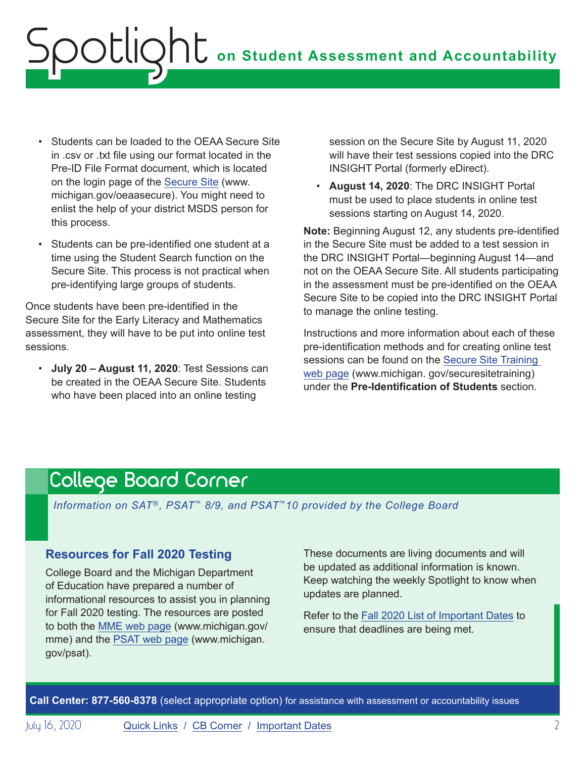# <span id="page-1-0"></span>**on Student Assessment and Accountability** Spotlight

- Students can be loaded to the OEAA Secure Site in .csv or .txt file using our format located in the Pre-ID File Format document, which is located on the login page of the [Secure Site](http://www.michigan.gov/oeaa-secure) (www. michigan.gov/oeaasecure). You might need to enlist the help of your district MSDS person for this process.
- Students can be pre-identified one student at a time using the Student Search function on the Secure Site. This process is not practical when pre-identifying large groups of students.

Once students have been pre-identified in the Secure Site for the Early Literacy and Mathematics assessment, they will have to be put into online test sessions.

• **July 20 – August 11, 2020**: Test Sessions can be created in the OEAA Secure Site. Students who have been placed into an online testing

session on the Secure Site by August 11, 2020 will have their test sessions copied into the DRC INSIGHT Portal (formerly eDirect).

• **August 14, 2020**: The DRC INSIGHT Portal must be used to place students in online test sessions starting on August 14, 2020.

**Note:** Beginning August 12, any students pre-identified in the Secure Site must be added to a test session in the DRC INSIGHT Portal—beginning August 14—and not on the OEAA Secure Site. All students participating in the assessment must be pre-identified on the OEAA Secure Site to be copied into the DRC INSIGHT Portal to manage the online testing.

Instructions and more information about each of these pre-identification methods and for creating online test sessions can be found on the [Secure Site Training](http://www.michigan.gov/securesitetraining)  [web page](http://www.michigan.gov/securesitetraining) (www.michigan. gov/securesitetraining) under the **Pre-Identification of Students** section.

# <span id="page-1-1"></span>College Board Corner

*Information on SAT*®*, PSAT*™ *8/9, and PSAT*™*10 provided by the College Board*

### **Resources for Fall 2020 Testing**

College Board and the Michigan Department of Education have prepared a number of informational resources to assist you in planning for Fall 2020 testing. The resources are posted to both the [MME web page](www.michigan.gov/mme) (www.michigan.gov/ mme) and the [PSAT web page](http://www.michigan.gov/psat) (www.michigan. gov/psat).

These documents are living documents and will be updated as additional information is known. Keep watching the weekly Spotlight to know when updates are planned.

Refer to the [Fall 2020 List of Important Dates](https://www.michigan.gov/documents/mde/Fall_2020_List_of_Important_Dates_689777_7.pdf) to ensure that deadlines are being met.

**Call Center: 877-560-8378** (select appropriate option) for assistance with assessment or accountability issues